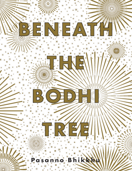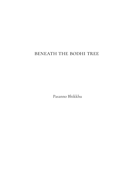#### beneath the bodhi tree

Pasanno Bhikkhu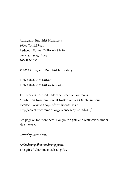Abhayagiri Buddhist Monastery 16201 Tomki Road Redwood Valley, California 95470 [www.abhayagiri.org](http://www.abhayagiri.org) 707-485-1630

© 2018 Abhayagiri Buddhist Monastery

ISBN 978-1-63271-014-7 ISBN 978-1-63271-015-4 (eBook)

This work is licensed under the Creative Commons Attribution-NonCommercial-NoDerivatives 4.0 International License. To view a copy of this license, visit <http://creativecommons.org/licenses/by-nc-nd/4.0/>

See page 66 for more details on your rights and restrictions under this license.

Cover by Sumi Shin.

*Sabbadānaṃ dhammadānaṃ jināti.* The gift of Dhamma excels all gifts.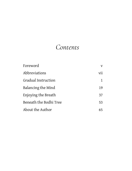## *Contents*

| Foreword               | v   |
|------------------------|-----|
| Abbreviations          | vii |
| Gradual Instruction    | 1   |
| Balancing the Mind     | 19  |
| Enjoying the Breath    | 37  |
| Beneath the Bodhi Tree | 53  |
| About the Author       | 65  |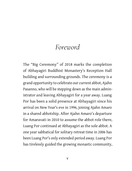### <span id="page-5-0"></span>*Foreword*

The "Big Ceremony" of 2018 marks the completion of Abhayagiri Buddhist Monastery's Reception Hall building and surrounding grounds. The ceremony is a grand opportunity to celebrate our current abbot, Ajahn Pasanno, who will be stepping down as the main administrator and leaving Abhayagiri for a year away. Luang Por has been a solid presence at Abhayagiri since his arrival on New Year's eve in 1996, joining Ajahn Amaro in a shared abbotship. After Ajahn Amaro's departure for Amaravati in 2010 to assume the abbot role there, Luang Por continued at Abhayagiri as the sole abbot. A one year sabbatical for solitary retreat time in 2006 has been Luang Por's only extended period away. Luang Por has tirelessly guided the growing monastic community,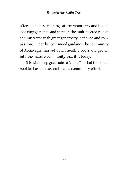offered endless teachings at the monastery and in outside engagements, and acted in the multifaceted role of administrator with great generosity, patience and compassion. Under his continued guidance the community of Abhayagiri has set down healthy roots and grown into the mature community that it is today.

It is with deep gratitude to Luang Por that this small booklet has been assembled—a community effort.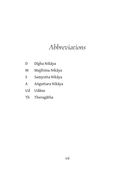# <span id="page-7-0"></span>*Abbreviations*

- D Dīgha Nikāya
- M Majjhima Nikāya
- S Saṃyutta Nikāya
- A Aṅguttara Nikāya
- Ud Udāna
- Th Theragātha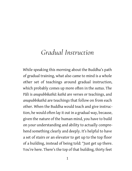### <span id="page-9-0"></span>*Gradual Instruction*

While speaking this morning about the Buddha's path of gradual training, what also came to mind is a whole other set of teachings around gradual instruction, which probably comes up more often in the *suttas*. The Pāli is *anupubbikathā*: *kathā* are verses or teachings, and *anupubbikathā* are teachings that follow on from each other. When the Buddha would teach and give instruction, he would often lay it out in a gradual way, because, given the nature of the human mind, you have to build on your understanding and ability to actually comprehend something clearly and deeply. It's helpful to have a set of stairs or an elevator to get up to the top floor of a building, instead of being told: "Just get up there. You're here. There's the top of that building, thirty feet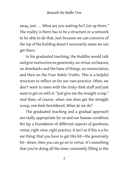away, just . . . What are you waiting for? Get up there." The reality is there has to be a structure or a network to be able to do that. Just because we can conceive of the top of the building doesn't necessarily mean we can get there.

In his graduated teaching, the Buddha would talk and give instruction on generosity, on virtue, on heaven, on drawbacks and the bane of things, on renunciation, and then on the Four Noble Truths. This is a helpful structure to reflect on for our own practice. Often, we don't want to mess with the rinky-dink stuff and just want to get on with it: "Just give me the straight scoop." And then, of course, when one does get the straight scoop, one feels bewildered. What do we do?

The graduated teaching and a gradual approach are really appropriate for us and our human condition. We lay a foundation of different aspects of goodness, virtue, right view, right practice. It isn't as if this is a linear thing: that you have to get this bit—the generosity bit—down, then you can go on to virtue. It's something that you're doing all the time: constantly filling in the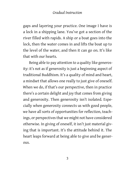gaps and layering your practice. One image I have is a lock in a shipping lane. You've got a section of the river filled with rapids. A ship or a boat goes into the lock, then the water comes in and lifts the boat up to the level of the water, and then it can go on. It's like that with our hearts.

Being able to pay attention to a quality like generosity: it's not as if generosity is just a beginning aspect of traditional Buddhism. It's a quality of mind and heart, a mindset that allows one really to just give of oneself. When we do, if that's our perspective, then in practice there's a certain delight and joy that comes from giving and generosity. Then generosity isn't isolated. Especially when generosity connects us with good people, we have all sorts of opportunities for reflection, teachings, or perspectives that we might not have considered otherwise. In giving of oneself, it isn't just material giving that is important. It's the attitude behind it. The heart leaps forward at being able to give and be generous.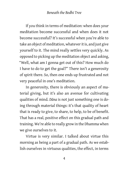If you think in terms of meditation: when does your meditation become successful and when does it not become successful? It's successful when you're able to take an object of meditation, whatever it is, and just give yourself to it. The mind really settles very quickly. As opposed to picking up the meditation object and asking, "Well, what am I gonna get out of this? How much do I have to do to get the goal?" There isn't a generosity of spirit there. So, then one ends up frustrated and not very peaceful in one's meditation.

In generosity, there is obviously an aspect of material giving, but it's also an avenue for cultivating qualities of mind. *Dāna* is not just something one is doing through material things: it's that quality of heart that is ready to give, to share, to help, to be of benefit. That has a real, positive effect on this gradual path and training. We're able to really grow in the Dhamma when we give ourselves to it.

Virtue is very similar. I talked about virtue this morning as being a part of a gradual path. As we establish ourselves in virtuous qualities, the effect, in terms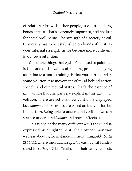of relationships with other people, is of establishing bonds of trust. That's extremely important, and not just for social well-being. The strength of a society or culture really has to be established on bonds of trust, as does internal strength, as we become more confident in our own intention.

One of the things that Ajahn Chah used to point out is that one of the values of keeping precepts, paying attention to a moral training, is that you start to understand volition, the movement of mind behind action, speech, and our mental states. That's the essence of *kamma*. The Buddha was very explicit in this: *kamma* is volition. There are actions, how volition is displayed, but *kamma* and its results are based on the volition behind action. Being able to understand volition, we can start to understand *kamma* and how it affects us.

This is one of the many different ways the Buddha expressed his enlightenment. The most common way we hear about is, for instance, in the *Dhammacakka Sutta* (S 56.11), where the Buddha says, "It wasn't until I understand these Four Noble Truths and their twelve aspects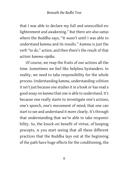that I was able to declare my full and unexcelled enlightenment and awakening." But there are also *suttas* where the Buddha says, "It wasn't until I was able to understand *kamma* and its results." *Kamma* is just the verb "to do," action, and then there's the result of that action: *kamma-vipāka*.

Of course, we reap the fruits of our actions all the time. Sometimes we feel like helpless bystanders. In reality, we need to take responsibility for the whole process. Understanding *kamma*, understanding volition: it isn't just because one studies it in a book or has read a good essay on *kamma* that one is able to understand. It's because one really starts to investigate one's actions, one's speech, one's movement of mind, that one can start to see and understand it more clearly. It's through that understanding that we're able to take responsibility. So, the knock-on benefit of virtue, of keeping precepts, is you start seeing that all these different practices that the Buddha lays out at the beginning of the path have huge effects for the conditioning, the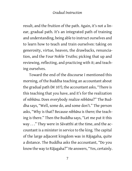result, and the fruition of the path. Again, it's not a linear, gradual path. It's an integrated path of training and understanding, being able to instruct ourselves and to learn how to teach and train ourselves: taking on generosity, virtue, heaven, the drawbacks, renunciation, and the Four Noble Truths; picking that up and reviewing, reflecting, and practicing with it; and teaching ourselves.

Toward the end of the discourse I mentioned this morning, of the Buddha teaching an accountant about the gradual path (M 107), the accountant asks, "There is this teaching that you have, and it's for the realization of *nibbāna*. Does everybody realize *nibbāna*?" The Buddha says, "Well, some do, and some don't." The person asks, "Why is that? Because *nibbāna* is there; the teaching is there." Then the Buddha says, "Let me put it this way . . ." They were in Sāvatthi at the time, and the accountant is a minister in service to the king. The capital of the large adjacent kingdom was in Rājagaha, quite a distance. The Buddha asks the accountant, "Do you know the way to Rājagaha?" He answers, "Yes, certainly.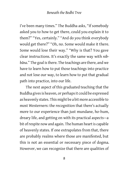I've been many times." The Buddha asks, "If somebody asked you to how to get there, could you explain it to them?" "Yes, certainly." "And do you think everybody would get there?" "Oh, no. Some would make it there. Some would lose their way." "Why is that? You gave clear instructions. It's exactly the same way with *nibbāna*." The goal is there. The teachings are there, and we have to learn how to put those teachings into practice and not lose our way, to learn how to put that gradual path into practice, into our life.

The next aspect of this graduated teaching that the Buddha gives is heaven, or perhaps it could be expressed as heavenly states. This might be a bit more accessible to most Westerners: the recognition that there's actually more to our experience than just mundane, ho-hum, dreary life, and getting on with its practical aspects—a bit of respite now and again. The human heart is capable of heavenly states. If one extrapolates from that, there are probably realms where those are manifested, but this is not an essential or necessary piece of dogma. However, we can recognize that there are qualities of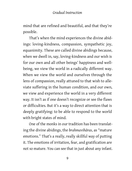mind that are refined and beautiful, and that they're possible.

That's when the mind experiences the divine abidings: loving-kindness, compassion, sympathetic joy, equanimity. These are called divine abidings because, when we dwell in, say, loving-kindness and our wish is for our own and all other beings' happiness and wellbeing, we view the world in a radically different way. When we view the world and ourselves through the lens of compassion, really attuned to that wish to alleviate suffering in the human condition, and our own, we view and experience the world in a very different way. It isn't as if one doesn't recognize or see the flaws or difficulties. But it's a way to direct attention that is deeply gratifying: to be able to respond to the world with bright states of mind.

One of the monks in our tradition has been translating the divine abidings, the *brahmavihāras*, as "mature emotions." That's a really, really skillful way of putting it. The emotions of irritation, fear, and gratification are not so mature. You can see that in just about any infant.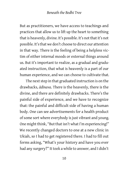But as practitioners, we have access to teachings and practices that allow us to lift up the heart to something that is heavenly, divine. It's possible. It's not that it's not possible. It's that we don't choose to direct our attention in that way. There is the feeling of being a helpless victim of either internal moods or external things around us. But it's important to realize, as a gradual and graduated instruction, that what is heavenly is a part of our human experience, and we can choose to cultivate that.

The next step in that graduated instruction is on the drawbacks, *ādīnava*. There is the heavenly, there is the divine, and there are definitely drawbacks. There's the painful side of experience, and we have to recognize that: the painful and difficult side of having a human body. One can see advertisements for a health product of some sort where everybody is just vibrant and young. One might think, "But that isn't what I'm experiencing!" We recently changed doctors to one at a new clinic in Ukiah, so I had to get registered there. I had to fill out forms asking, "What's your history and have you ever had any surgery?" It took a while to answer, and I didn't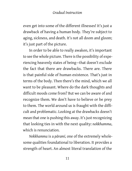even get into some of the different illnesses! It's just a drawback of having a human body. They're subject to aging, sickness, and death. It's not all doom and gloom; it's just part of the picture.

In order to be able to really awaken, it's important to see the whole picture. There is the possibility of experiencing heavenly states of being—that doesn't exclude the fact that there are drawbacks. There are. There is that painful side of human existence. That's just in terms of the body. Then there's the mind, which we all want to be pleasant. Where do the dark thoughts and difficult moods come from? But we can be aware of and recognize them. We don't have to believe or be prey to them. The world around us is fraught with the difficult and problematic. Looking at the drawbacks doesn't mean that one is pushing this away. It's just recognizing that looking ties in with the next quality: *nekkhamma*, which is renunciation.

*Nekkhamma* is a *pāramī*, one of the extremely wholesome qualities foundational to liberation. It provides a strength of heart. An almost literal translation of the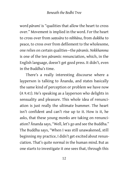word *pāramī* is "qualities that allow the heart to cross over." Movement is implied in the word. For the heart to cross over from *saṃsāra* to *nibbāna*, from *dukkha* to peace, to cross over from defilement to the wholesome, one relies on certain qualities—the *pāramīs*. *Nekkhamma* is one of the ten *pāramīs*: renunciation, which, in the English language, doesn't get good press. It didn't, even in the Buddha's time.

There's a really interesting discourse where a layperson is talking to Ānanda, and states basically the same kind of perception or problem we have now (A 9.41). He's speaking as a layperson who delights in sensuality and pleasure. This whole idea of renunciation is just really the ultimate bummer. The heart isn't confident and can't rise up to it. How is it, he asks, that these young monks are taking on renunciation? Ānanda says, "Well, let's go and see the Buddha." The Buddha says, "When I was still unawakened, still beginning my practice, I didn't get excited about renunciation. That's quite normal in the human mind. But as one starts to investigate it one sees that, through this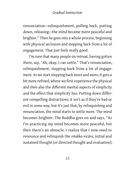#### *Gradual Instruction*

renunciation—relinquishment, pulling back, putting down, releasing—the mind became more peaceful and brighter." Then he goes into a whole process, beginning with physical seclusion and stepping back from a lot of engagement. That just feels really good.

I'm sure that many people on retreat, having gotten there, say, "Ah, okay, I can settle." That's renunciation, relinquishment, stepping back from a lot of engagement. As we start stepping back more and more, it gets a bit more refined, where we first experience the physical and then also the different mental aspects of simplicity and the effect that simplicity has. Putting down different compelling distractions: it isn't as if they're bad or evil in some way, but it's just that, by relinquishing and renunciation, the mind starts to settle more. The mind becomes brighter. The Buddha goes on and says, "As I'm practicing my mind becomes more peaceful, but then there's an obstacle. I realize that I now need to renounce and relinquish the *vitakka-vicāra*, initial and sustained thought (or directed thought and evaluation),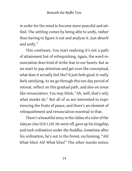in order for the mind to become more peaceful and settled. The settling comes by being able to unify, rather than having to figure it out and analyze it. Just absorb and unify."

This continues. You start realizing it's not a path of attainment but of relinquishing. Again, the word renunciation does kind of strike fear in our hearts. But as we start to pay attention and get over the conceptual, what does it actually feel like? It just feels good. It really feels satisfying. As we go through this ten-day period of retreat, reflect on this gradual path, and also on areas like renunciation. You may think, "Ah, well, that's only what monks do." But all of us are interested in experiencing the fruits of peace, and there's an element of relinquishment and renunciation essential to that.

There's a beautiful story in the *Udāna* of a ruler of the Sakyan clan (Ud 2.10). He went off, gave up his kingship, and took ordination under the Buddha. Sometime after his ordination, he's out in the forest, exclaiming, "Ah! What bliss! Ah! What bliss!" The other monks notice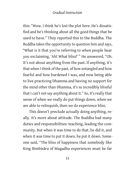this: "Wow. I think he's lost the plot here. He's dissatisfied and he's thinking about all the good things that he used to have." They reported this to the Buddha. The Buddha takes the opportunity to question him and says, "What is it that you're referring to when people hear you exclaiming, 'Ah! What bliss!' " He answered, "Oh. It's not about anything from the past. If anything, it's that when I think of the past, of how entangled and how fearful and how burdened I was, and now being able to live practicing Dhamma and having no support for the mind other than Dhamma, it's so incredibly blissful that I can't not say anything about it." So, it's really that sense of when we really do put things down, when we are able to relinquish, then we do experience bliss.

This doesn't preclude actually doing anything, really. It's more about attitude. The Buddha had many duties and responsibilities: teaching, leading the community. But when it was time to do that, he did it, and when it was time to put it down, he put it down. Someone said, "The bliss of happiness that somebody like King Bimbisāra of Magadha experiences must be far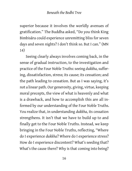superior because it involves the worldly avenues of gratification." The Buddha asked, "Do you think King Bimbisāra could experience unremitting bliss for seven days and seven nights? I don't think so. But I can." (MN 14)

Seeing clearly always involves coming back, in the sense of gradual instruction, to the investigation and practice of the Four Noble Truths: seeing *dukkha*, suffering, dissatisfaction, stress; its cause; its cessation; and the path leading to cessation. But as I was saying, it's not a linear path. Our generosity, giving, virtue, keeping moral precepts, the view of what is heavenly and what is a drawback, and how to accomplish this are all informed by our understanding of the Four Noble Truths. You realize that, in understanding *dukkha*, its cessation strengthens. It isn't that we have to build up to and finally get to the Four Noble Truths. Instead, we keep bringing in the Four Noble Truths, reflecting, "Where do I experience *dukkha*? Where do I experience stress? How do I experience discontent? What's seeding that? What's the cause there? Why is that coming into being?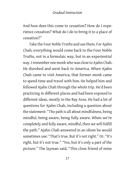#### *Gradual Instruction*

And how does this come to cessation? How do I experience cessation? What do I do to bring it to a place of cessation?"

Take the Four Noble Truths and use them. For Ajahn Chah, everything would come back to the Four Noble Truths, not in a formulaic way, but in an experiential way. I remember one monk who was close to Ajahn Chah. He disrobed and went back to America. When Ajahn Chah came to visit America, that former monk came to spend time and travel with him. He helped him and followed Ajahn Chah through the whole trip. He'd been practicing in different places and had been exposed to different ideas, mostly in the Bay Area. He had a lot of questions for Ajahn Chah, including a question about the statement: "The path is all about mindfulness, being mindful, being aware, being fully aware. When we're completely and fully aware, mindful, then we will fulfill the path." Ajahn Chah answered in an idiom he would sometimes use: "That's true. But it's not right." Or, "It's right, but it's not true." "Yes, but it's only a part of the picture." The layman said, "This close friend of mine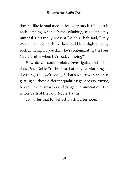doesn't like formal meditation very much. His path is rock climbing. When he's rock climbing, he's completely mindful. He's really present." Ajahn Chah said, "Only Westerners would think they could be enlightened by rock climbing. Do you think he's contemplating the Four Noble Truths when he's rock climbing?"

How do we contemplate, investigate, and bring those Four Noble Truths in so that they're informing all the things that we're doing? That's where we start integrating all these different qualities: generosity, virtue, heaven, the drawbacks and dangers, renunciation. The whole path of the Four Noble Truths.

So, I offer that for reflection this afternoon.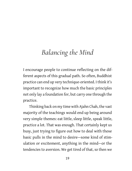# <span id="page-27-0"></span>*Balancing the Mind*

I encourage people to continue reflecting on the different aspects of this gradual path. So often, Buddhist practice can end up very technique-oriented. I think it's important to recognize how much the basic principles not only lay a foundation for, but carry one through the practice.

Thinking back on my time with Ajahn Chah, the vast majority of the teachings would end up being around very simple themes: eat little, sleep little, speak little, practice a lot. That was enough. That certainly kept us busy, just trying to figure out how to deal with those basic pulls in the mind to desire—some kind of stimulation or excitement, anything in the mind—or the tendencies to aversion. We get tired of that, so then we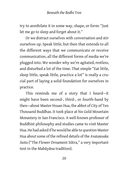try to annihilate it in some way, shape, or form: "Just let me go to sleep and forget about it."

Or we distract ourselves with conversation and stir ourselves up. Speak little, but then that extends to all the different ways that we communicate or receive communication, all the different forms of media we're plugged into. We wonder why we're agitated, restless, and disturbed a lot of the time. That simple "Eat little, sleep little, speak little, practice a lot" is really a crucial part of laying a solid foundation for ourselves in practice.

This reminds me of a story that I heard—it might have been second-, third-, or fourth-hand by then—about Master Hsuan Hua, the abbot of City of Ten Thousand Buddhas. It took place at his Gold Mountain Monastery in San Francisco. A well-known professor of Buddhist philosophy and studies came to visit Master Hua. He had asked if he would be able to question Master Hua about some of the refined details of the *Avataṃsaka Sutta* ("The Flower Ornament Sūtra," a very important text in the Mahāyāna tradition).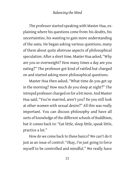The professor started speaking with Master Hua, explaining where his questions come from: his doubts, his uncertainties, his wanting to gain more understanding of the *sutta*. He began asking various questions, many of them about quite abstruse aspects of philosophical speculation. After a short time, Master Hua asked, "Why are you so overweight? How many times a day are you eating?" The professor got kind of rattled but charged on and started asking more philosophical questions.

Master Hua then asked, "What time do you get up in the morning? How much do you sleep at night?" The intrepid professor charged on for a bit more. And Master Hua said, "You're married, aren't you? Do you still look at other women with sexual desire?" All this was really important. You can discuss philosophy and have all sorts of knowledge of the different schools of Buddhism, but it comes back to: "Eat little, sleep little, speak little, practice a lot."

How do we come back to these basics? We can't do it just as an issue of control: "Okay, I'm just going to force myself to be controlled and mindful." We really have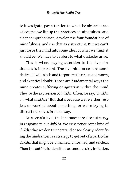to investigate, pay attention to what the obstacles are. Of course, we lift up the practices of mindfulness and clear comprehension, develop the four foundations of mindfulness, and use that as a structure. But we can't just force the mind into some ideal of what we think it should be. We have to be alert to what obstacles arise.

This is where paying attention to the five hindrances is important. The five hindrances are sense desire, ill will, sloth and torpor, restlessness and worry, and skeptical doubt. Those are fundamental ways the mind creates suffering or agitation within the mind. They're the expression of *dukkha*. Often, we say, "*Dukkha* . . . what *dukkha*?" But that's because we're either restless or worried about something, or we're trying to distract ourselves in some way.

On a certain level, the hindrances are also a strategy in response to our *dukkha*. We experience some kind of *dukkha* that we don't understand or see clearly. Identifying the hindrances is a strategy to get out of a particular *dukkha* that might be unnamed, unformed, and unclear. Then the *dukkha* is identified as sense desire, irritation,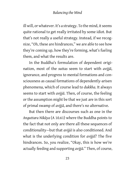ill will, or whatever. It's a strategy. To the mind, it seems quite rational to get really irritated by some idiot. But that's not really a useful strategy. Instead, if we recognize, "Oh, these are hindrances," we are able to see how they're coming up, how they're forming, what's fueling them, and what the results are.

In the Buddha's formulation of dependent origination, most of the *suttas* seem to start with *avijjā*, ignorance, and progress to mental formations and consciousness as causal formations of dependently-arisen phenomena, which of course lead to *dukkha*. It always seems to start with *avijjā*. Then, of course, the feeling or the assumption might be that we just are in this sort of primal swamp of *avijjā*, and there's no alternative.

But then there are discourses such as one in the *Anguttara Nikāya* (A 10.61) where the Buddha points to the fact that not only are there all these sequences of conditionality—but that *avijjā* is also conditioned. And what is the underlying condition for *avijjā*? The five hindrances. So, you realize, "Okay, this is how we're actually feeding and supporting *avijjā*." Then, of course,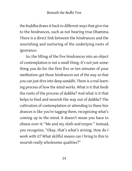the Buddha draws it back to different ways that give rise to the hindrances, such as not hearing true Dhamma. There is a direct link between the hindrances and the nourishing and nurturing of the underlying roots of ignorance.

So, the lifting of the five hindrances into an object of contemplation is not a small thing. It's not just something you do for the first five or ten minutes of your meditation: get those hindrances out of the way so that you can just dive into deep *samādhi*. There is a real learning process of how the mind works. What is it that feeds the roots of the process of *dukkha*? And what is it that helps to feed and nourish the way out of *dukkha*? The cultivation of contemplation or attending to these hindrances is like you're tagging them, recognizing what's coming up in the mind. It doesn't mean you have to obsess over it: "Me and my sloth and torpor." Instead, you recognize, "Okay, that's what's arising. How do I work with it? What skillful means can I bring to this to nourish really wholesome qualities?"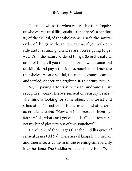The mind will settle when we are able to relinquish unwholesome, unskillful qualities and there's a continuity of the skillful, of the wholesome. That's the natural order of things, in the same way that if you walk outside and it's raining, chances are you're going to get wet. It's in the natural order of things. So in the natural order of things, if you relinquish the unwholesome and unskillful, and pay attention to, nourish, and nurture the wholesome and skillful, the mind becomes peaceful and settled, clearer and brighter. It's a natural result.

So, in paying attention to these hindrances, just recognize, "Okay, there's sensual or sensory desire." The mind is looking for some object of interest and stimulation. It's not that it is interested in what its characteristics are and "How can I be liberated from it?" Rather: "Oh, what can I get out of this?" or "How can I get my hit of pleasure out of this somehow?"

Here's one of the images that the Buddha gives of sensual desire (Ud 6.9). There are oil lamps lit in the hall, and then insects come in in the evening-time and fly into the flame. The Buddha makes a comparison: "Well,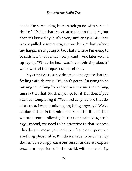that's the same thing human beings do with sensual desire." It's like that insect, attracted to the light, but then it's burned by it. It's a very similar dynamic when we are pulled to something and we think, "That's where my happiness is going to be. That's where I'm going to be satisfied. That's what I really want." And later we end up saying, "What the heck was I even thinking about?" when we feel the repercussions of that.

Pay attention to sense desire and recognize that the feeling with desire is: "If I don't get it, I'm going to be missing something." You don't want to miss something, miss out on that. So, then you go for it. But then if you start contemplating it, "Well, actually, before that desire arose, I wasn't missing anything anyway." We've conjured it up in the mind and run after it, and then we run around following it. It's not a satisfying strategy. Instead, we need to be attentive to that process. This doesn't mean you can't ever have or experience anything pleasurable. But do we have to be driven by desire? Can we approach our senses and sense experience, our experience in the world, with some clarity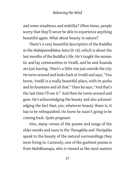and some steadiness and stability? Often times, people worry that they'll never be able to experience anything beautiful again. What about beauty in nature?

There's a very beautiful description of the Buddha in the *Mahāparinibbāna Sutta* (D 16), which is about the last months of the Buddha's life. He's taught the monastic and lay communities in Vesālī, and he and Ānanda are just leaving. There's a little rise just outside the city. He turns around and looks back at Vesālī and says, "You know, Vesālī is a really beautiful place, with its parks and its fountains and all that." Then he says, "And that's the last time I'll see it." And then he turns around and goes. He's acknowledging the beauty and also acknowledging the fact that, yes, whatever beauty there is, it has to be relinquished. He knew he wasn't going to be coming back. Quite poignant.

Also, many verses of the poems and songs of the elder monks and nuns in the *Theragātha* and *Therīgātha* speak to the beauty of the natural surroundings they were living in. Curiously, one of the gushiest poems is from Mahākassapa, who is viewed as the most austere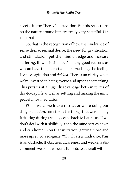ascetic in the Theravāda tradition. But his reflections on the nature around him are really very beautiful. (Th 1051–90)

So, that is the recognition of how the hindrance of sense desire, sensual desire, the need for gratification and stimulation, put the mind on edge and increase suffering. Ill will is similar. As many good reasons as we can have to be upset about something, the feeling is one of agitation and *dukkha*. There's no clarity when we're invested in being averse and upset at something. This puts us at a huge disadvantage both in terms of day-to-day life as well as settling and making the mind peaceful for meditation.

When we come into a retreat or we're doing our daily mediation, sometimes the things that were mildly irritating during the day come back to haunt us. If we don't deal with it skillfully, then the mind settles down and can home in on that irritation, getting more and more upset. So, recognize: "Oh. This is a hindrance. This is an obstacle. It obscures awareness and weakens discernment, weakens wisdom. It needs to be dealt with in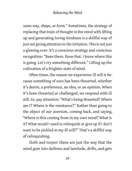some way, shape, or form." Sometimes, the strategy of replacing that train of thought in the mind with lifting up and generating loving-kindness is a skillful way of just not giving attention to the irritation. This is not just a glossing over. It's a conscious strategy and conscious recognition: "Been there. Done that. I know where this is going. Let's try something different." Lifting up the cultivation of a brighter state of mind.

Often times, the reason we experience ill will is because something of ours has been thwarted, whether it's desire, a preference, an idea, or an opinion. When it's been thwarted or challenged, we respond with ill will. So, pay attention: "What's being thwarted? Where am I? Where is the resistance?" Rather than going to the object of our aversion, coming back, and saying, "Where is this coming from in my own mind? What is it? What would I need to relinquish or give up if I don't want to be pickled in my ill will?" That's a skillful way of relinquishing.

Sloth and torpor: these are just the way that the mind goes into dullness and lassitude, drifts, and gets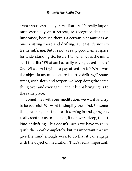amorphous, especially in meditation. It's really important, especially on a retreat, to recognize this as a hindrance, because there's a certain pleasantness as one is sitting there and drifting. At least it's not extreme suffering. But it's not a really good mental space for understanding. So, be alert to: when does the mind start to drift? "What am I actually paying attention to?" Or, "What am I trying to pay attention to? What was the object in my mind before I started drifting?" Sometimes, with sloth and torpor, we keep doing the same thing over and over again, and it keeps bringing us to the same place.

Sometimes with our meditation, we want and try to be peaceful. We want to simplify the mind. So, something relaxing, like the breath coming in and going out, really soothes us to sleep or, if not overt sleep, to just kind of drifting. This doesn't mean we have to relinquish the breath completely, but it's important that we give the mind enough work to do that it can engage with the object of meditation. That's really important.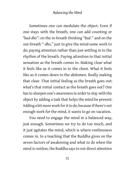#### *Balancing the Mind*

Sometimes one can modulate the object. Even if one stays with the breath, one can add counting or "*bud-dho*": on the in-breath thinking "*bud-*" and on the out-breath ''*-dho*," just to give the mind some work to do; paying attention rather than just settling in to the rhythm of the breath. Paying attention to that initial sensation as the breath comes in. Making clear what it feels like as it comes in to the chest. What it feels like as it comes down to the abdomen. Really making that clear. That initial feeling as the breath goes out: what's that initial contact as the breath goes out? One has to sharpen one's awareness in order to stay with the object by adding a task that helps the mind be present. Adding a bit more work for it to do, because if there's not enough work for the mind, it wants to go on vacation.

You need to engage the mind in a balanced way, just enough. Sometimes we try to do too much, and it just agitates the mind, which is where restlessness comes in. In a teaching that the Buddha gives on the seven factors of awakening and what to do when the mind is restless, the Buddha says to not direct attention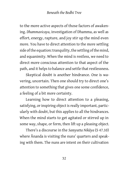to the more active aspects of those factors of awakening. *Dhammavicaya*, investigation of Dhamma, as well as effort, energy, rapture, and joy stir up the mind even more. You have to direct attention to the more settling side of the equation: tranquility, the settling of the mind, and equanimity. When the mind is restless, we need to direct more conscious attention to that aspect of the path, and it helps to balance and settle that restlessness.

Skeptical doubt is another hindrance. One is wavering, uncertain. Then one should try to direct one's attention to something that gives one some confidence, a feeling of a bit more certainty.

Learning how to direct attention to a pleasing, satisfying, or inspiring object is really important, particularly with doubt, but this applies to all the hindrances. When the mind starts to get agitated or stirred up in some way, shape, or form, then lift up a pleasing object.

There's a discourse in the *Saṃyutta Nikāya* (S 47.10) where Ānanda is visiting the nuns' quarters and speaking with them. The nuns are intent on their cultivation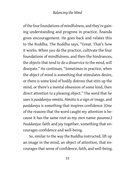#### *Balancing the Mind*

of the four foundations of mindfulness, and they're gaining understanding and progress in practice. Ānanda gives encouragement. He goes back and relates this to the Buddha. The Buddha says, "Great. That's how it works. When you do the practice, cultivate the four foundations of mindfulness, and then the hindrances, the objects that tend to do a disservice to the mind, will dissipate." He continues, "Sometimes in practice, when the object of mind is something that stimulates desire, or there is some kind of bodily distress that stirs up the mind, or there's a mental obsession of some kind, then direct attention to a pleasing object." The word that he uses is *pasādaniya-nimitta*. *Nimitta* is a sign or image, and *pasādaniya* is something that inspires confidence. (One of the reasons that the word caught my attention is because it has the same root as my own name: *pasanno*.) *Pasādaniya*: faith and joy together, something that encourages confidence and well-being.

So, similar to the way the Buddha instructed, lift up an image in the mind, an object of attention, that encourages that sense of confidence, faith, and well-being.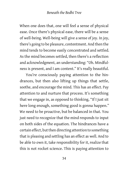When one does that, one will feel a sense of physical ease. Once there's physical ease, there will be a sense of well-being. Well-being will give a sense of joy. In joy, there's going to be pleasure, contentment. And then the mind tends to become easily concentrated and settled. As the mind becomes settled, then there's a reflection and acknowledgment, an understanding: "Oh. Mindfulness is present, and I am content." It's really beautiful.

You're consciously paying attention to the hindrances, but then also lifting up things that settle, soothe, and encourage the mind. This has an effect. Pay attention to and nurture that process. It's something that we engage in, as opposed to thinking, "If I just sit here long enough, something good is gonna happen." We need to be proactive, but be balanced in that. You just need to recognize that the mind responds to input on both sides of the equation. The hindrances have a certain effect, but then directing attention to something that is pleasing and settling has an effect as well. And to be able to own it, take responsibility for it, realize that this is not rocket science. This is paying attention to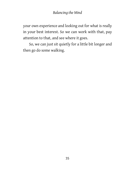your own experience and looking out for what is really in your best interest. So we can work with that, pay attention to that, and see where it goes.

So, we can just sit quietly for a little bit longer and then go do some walking.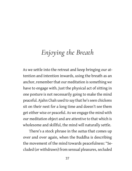# *Enjoying the Breath*

As we settle into the retreat and keep bringing our attention and intention inwards, using the breath as an anchor, remember that our meditation is something we have to engage with. Just the physical act of sitting in one posture is not necessarily going to make the mind peaceful. Ajahn Chah used to say that he's seen chickens sit on their nest for a long time and doesn't see them get either wise or peaceful. As we engage the mind with our meditation object and are attentive to that which is wholesome and skillful, the mind will naturally settle.

There's a stock phrase in the *suttas* that comes up over and over again, when the Buddha is describing the movement of the mind towards peacefulness: "Secluded (or withdrawn) from sensual pleasures, secluded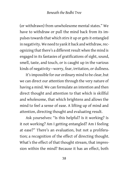(or withdrawn) from unwholesome mental states." We have to withdraw or pull the mind back from its impulses towards that which stirs it up or gets it entangled in negativity. We need to yank it back and withdraw, recognizing that there's a different result when the mind is engaged in its fantasies of gratifications of sight, sound, smell, taste, and touch, or is caught up in the various kinds of negativity—worry, fear, irritation, or dullness.

It's impossible for our ordinary mind to be clear, but we can direct our attention through the very nature of having a mind. We can formulate an intention and then direct thought and attention to that which is skillful and wholesome, that which brightens and allows the mind to feel a sense of ease. A lifting up of mind and attention, directing thought and evaluating result.

Ask yourselves: "Is this helpful? Is it working? Is it not working? Am I getting entangled? Am I feeling at ease?" There's an evaluation, but not a proliferation; a recognition of the effect of directing thought. What's the effect of that thought stream, that impression within the mind? Because it has an effect, both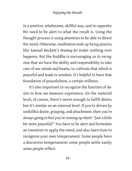#### *Enjoying the Breath*

in a positive, wholesome, skillful way, and its opposite. We need to be alert to what the result is. Using the thought process is using attention to be able to direct the mind. Otherwise, meditation ends up being passive, like Samuel Beckett's *Waiting for Godot*: nothing ever happens. But the Buddha is encouraging us to recognize that we have the ability and responsibility to take care of our minds and hearts, to cultivate that which is peaceful and leads to wisdom. It's helpful to have that foundation of peacefulness, a certain stillness.

It's also important to recognize the function of desire in how we measure experience. On the material level, of course, there's never enough to fulfill desire, but it's similar on an internal level. If you're driven by unskillful desire, grasping, and attachment, then you're always going to feel you're coming up short: "Just a little bit more peaceful!" You have to be alert and formulate an intention to apply the mind, and also learn how to recognize your own temperament. Some people have a discursive temperament; some people settle easily; some people reflect.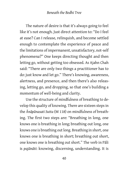The nature of desire is that it's always going to feel like it's not enough. Just direct attention to: "Do I feel at ease? Can I release, relinquish, and become settled enough to contemplate the experience of peace and the limitations of impermanent, unsatisfactory, not-self phenomena?" One keeps directing thought and then letting go, without getting too obsessed. As Ajahn Chah said: "There are only two things a practitioner has to do: just know and let go." There's knowing, awareness, alertness, and presence, and then there's also releasing, letting go, and dropping, so that one's building a momentum of well-being and clarity.

Use the structure of mindfulness of breathing to develop this quality of knowing. There are sixteen steps in the *Ānāpānasati Sutta* (M 118) on mindfulness of breathing. The first two steps are: "Breathing in long, one knows one is breathing in long; breathing out long, one knows one is breathing out long. Breathing in short, one knows one is breathing in short; breathing out short, one knows one is breathing out short." The verb in Pāli is *pajānāti*: knowing, discerning, understanding. It is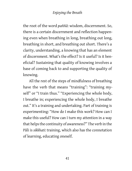the root of the word *paññā*: wisdom, discernment. So, there is a certain discernment and reflection happening even when breathing in long, breathing out long, breathing in short, and breathing out short. There's a clarity, understanding, a knowing that has an element of discernment. What's the effect? Is it useful? Is it beneficial? Sustaining that quality of knowing involves a base of coming back to and supporting the quality of knowing.

All the rest of the steps of mindfulness of breathing have the verb that means "training": "training myself" or "I train thus." "Experiencing the whole body, I breathe in; experiencing the whole body, I breathe out." It's a training and undertaking. Part of training is experimenting: "How do I make this work? How can I make this useful? How can I turn my attention in a way that helps the continuity of awareness?" The verb in the Pāli is *sikkhati*: training, which also has the connotation of learning, educating oneself.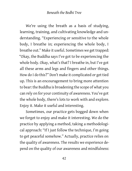We're using the breath as a basis of studying, learning, training, and cultivating knowledge and understanding. "Experiencing or sensitive to the whole body, I breathe in; experiencing the whole body, I breathe out." Make it useful. Sometimes we get trapped: "Okay, the Buddha says I've got to be experiencing the whole body. Okay, what's that? I breathe in, but I've got all these arms and legs and fingers and other things. How do I do this?" Don't make it complicated or get tied up. This is an encouragement to bring more attention to bear: the Buddha is broadening the scope of what you can rely on for your continuity of awareness. You've got the whole body, there's lots to work with and explore. Enjoy it. Make it useful and interesting.

Sometimes, our practice gets bogged down when we forget to enjoy and make it interesting. We do the practice by applying a method, taking a methodological approach: "If I just follow the technique, I'm going to get peaceful somehow." Actually, practice relies on the quality of awareness. The results we experience depend on the quality of our awareness and mindfulness: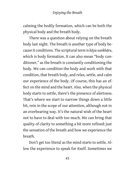calming the bodily formation, which can be both the physical body and the breath body.

There was a question about relying on the breath body last night. The breath is another type of body because it conditions. The scriptural term is *kāya-saṅkhāra*, which is body formation. It can also mean "body conditioner," as the breath is constantly conditioning the body. We can condition the body and work with that condition, that breath body, and relax, settle, and calm our experience of the body. Of course, this has an effect on the mind and the heart. Also, when the physical body starts to settle, there's the presence of alertness. That's where we start to narrow things down a little bit, rein in the scope of our attention, although not in an overbearing way. It's the natural wish of the heart not to have to deal with too much. We can bring that quality of clarity to something a bit more refined: just the sensation of the breath and how we experience the breath.

Don't get too literal as the mind starts to settle. Allow the experience to speak for itself. Sometimes we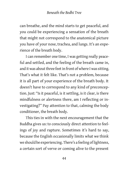can breathe, and the mind starts to get peaceful, and you could be experiencing a sensation of the breath that might not correspond to the anatomical picture you have of your nose, trachea, and lungs. It's an experience of the breath body.

I can remember one time, I was getting really peaceful and settled, and the feeling of the breath came in, and it was about three feet in front of where I was sitting. That's what it felt like. That's not a problem, because it is all part of your experience of the breath body. It doesn't have to correspond to any kind of preconception. Just: "Is it peaceful, is it settling, is it clear, is there mindfulness or alertness there, am I reflecting or investigating?" Pay attention to that, calming the body conditioner, the breath body.

This ties in with the next encouragement that the Buddha gives us: to consciously direct attention to feelings of joy and rapture. Sometimes it's hard to say, because the English occasionally limits what we think we should be experiencing. There's a feeling of lightness, a certain sort of verve or coming alive to the present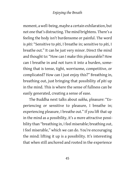### *Enjoying the Breath*

moment, a well-being, maybe a certain exhilaration, but not one that's distracting. The mind brightens. There's a feeling the body isn't burdensome or painful. The word is *pīti*: "Sensitive to *pīti*, I breathe in; sensitive to *pīti*, I breathe out." It can be just very minor. Direct the mind and thought to: "How can I make this pleasurable? How can I breathe in and not turn it into a burden, something that is tense, tight, worrisome, competitive, or complicated? How can I just enjoy this?" Breathing in, breathing out, just bringing that possibility of *pīti* up in the mind. This is where the sense of fullness can be easily generated, creating a sense of ease.

The Buddha next talks about *sukha*, pleasure: "Experiencing or sensitive to pleasure, I breathe in; experiencing pleasure, I breathe out." If you lift that up in the mind as a possibility, it's a more attractive possibility than "breathing in, I feel miserable; breathing out, I feel miserable," which we can do. You're encouraging the mind: lifting it up is a possibility. It's interesting that when still anchored and rooted in the experience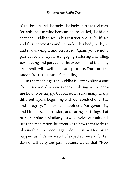of the breath and the body, the body starts to feel comfortable. As the mind becomes more settled, the idiom that the Buddha uses in his instructions is: "suffuses and fills, permeates and pervades this body with *pīti* and *sukha*, delight and pleasure." Again, you're not a passive recipient, you're engaging: suffusing and filling, permeating and pervading the experience of the body and breath with well-being and pleasure. Those are the Buddha's instructions. It's not illegal.

In the teachings, the Buddha is very explicit about the cultivation of happiness and well-being. We're learning how to be happy. Of course, this has many, many different layers, beginning with our conduct of virtue and integrity. This brings happiness. Our generosity and kindness, compassion, and caring are things that bring happiness. Similarly, as we develop our mindfulness and meditation, be attentive to how to make this a pleasurable experience. Again, don't just wait for this to happen, as if it's some sort of expected reward for ten days of difficulty and pain, because we do that: "How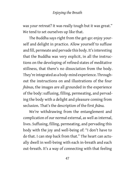was your retreat? It was really tough but it was great." We tend to set ourselves up like that.

The Buddha says right from the get-go: enjoy yourself and delight in practice. Allow yourself to suffuse and fill, permeate and pervade this body. It's interesting that the Buddha was very explicit, in all the instructions on the developing of refined states of meditative stillness, that there's no dissociation from the body. They're integrated as a body-mind experience. Throughout the instructions on and illustrations of the four *jhānas*, the images are all grounded in the experience of the body: suffusing, filling, permeating, and pervading the body with a delight and pleasure coming from seclusion. That's the description of the first *jhāna*.

We're withdrawing from the entanglement and complication of our normal external, as well as internal, lives. Suffusing, filling, permeating, and pervading this body with the joy and well-being of: "I don't have to do that. I can step back from that." The heart can actually dwell in well-being with each in-breath and each out-breath. It's a way of connecting with that feeling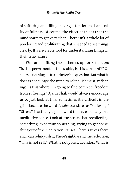of suffusing and filling, paying attention to that quality of fullness. Of course, the effect of this is that the mind starts to get very clear. There isn't a whole lot of pondering and proliferating that's needed to see things clearly. It's a suitable tool for understanding things in their true nature.

We can be lifting those themes up for reflection: "Is this permanent, is this stable, is this constant?" Of course, nothing is. It's a rhetorical question. But what it does is encourage the mind to relinquishment, reflecting: "Is this where I'm going to find complete freedom from suffering?" Ajahn Chah would always encourage us to just look at this. Sometimes it's difficult in English, because the word *dukkha* translates as "suffering." "Stress" is actually a good word to use, especially in a meditative sense. Look at the stress that recollecting something, expecting something, trying to get something out of the meditation, causes. There's stress there and I can relinquish it. There's *dukkha* and the reflection: "This is not self." What is not yours, abandon. What is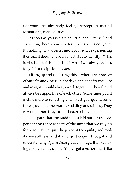#### *Enjoying the Breath*

not yours includes body, feeling, perception, mental formations, consciousness.

As soon as you get a nice little label, "mine," and stick it on, there's nowhere for it to stick. It's not yours. It's nothing. That doesn't mean you're not experiencing it or that it doesn't have an effect. But to identify—"This is who I am, this is mine, this is what I will always be"—is folly. It's a recipe for *dukkha*.

Lifting up and reflecting: this is where the practice of*samatha* and *vipassanā*, the development of tranquility and insight, should always work together. They should always be supportive of each other. Sometimes you'll incline more to reflecting and investigating, and sometimes you'll incline more to settling and stilling. They work together; they support each other.

This path that the Buddha has laid out for us is dependent on these aspects of the mind that we rely on for peace. It's not just the peace of tranquility and meditative stillness, and it's not just cogent thought and understanding. Ajahn Chah gives an image: It's like having a match and a candle. You've got a match and strike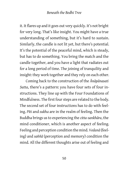it. It flares up and it goes out very quickly. It's not bright for very long. That's like insight. You might have a true understanding of something, but it's hard to sustain. Similarly, the candle is not lit yet, but there's potential. It's the potential of the peaceful mind, which is steady, but has to do something. You bring the match and the candle together, and you have a light that radiates out for a long period of time. The joining of tranquility and insight: they work together and they rely on each other.

Coming back to the construction of the *Ānāpānasati Sutta*, there's a pattern: you have four sets of four instructions. They line up with the Four Foundations of Mindfulness. The first four steps are related to the body. The second set of four instructions has to do with feeling. *Pīti* and *sukha* are in the realm of feeling. Then the Buddha brings us to experiencing the *citta-sankhāra*, the mind conditioner, which is another aspect of feeling. Feeling and perception condition the mind. *Vedanā* (feeling) and *saññā* (perception and memory) condition the mind. All the different thoughts arise out of feeling and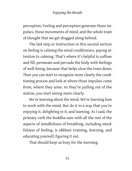perception. Feeling and perception generate those impulses, those movements of mind, and the whole train of thought that we get dragged along behind.

The last step or instruction in this second section on feeling is calming the mind conditioners, paying attention to calming. That's where it's helpful to suffuse and fill, permeate and pervade the body with feelings of well-being, because that helps slow the train down. Then you can start to recognize more clearly the conditioning process and look at where those impulses come from, where they arise. As they're pulling out of the station, you start seeing more clearly.

We're learning about the mind. We're learning how to work with the mind. But do it in a way that you're enjoying it, delighting in it, and learning. As I said, the primary verb the Buddha uses with all the rest of the aspects of mindfulness of breathing, including mindfulness of feeling, is *sikkhati*: training, learning, and educating yourself, figuring it out.

That should keep us busy for the morning.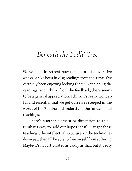## *Beneath the Bodhi Tree*

We've been in retreat now for just a little over five weeks. We've been having readings from the *suttas*. I've certainly been enjoying looking them up and doing the readings, and I think, from the feedback, there seems to be a general appreciation. I think it's really wonderful and essential that we get ourselves steeped in the words of the Buddha and understand the fundamental teachings.

There's another element or dimension to this. I think it's easy to hold out hope that if I just get these teachings, the intellectual structure, or the techniques down pat, then I'll be able to free myself from suffering. Maybe it's not articulated as baldly as that, but it's easy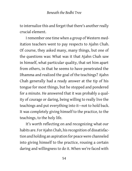to internalize this and forget that there's another really crucial element.

I remember one time when a group of Western meditation teachers went to pay respects to Ajahn Chah. Of course, they asked many, many things, but one of the questions was: What was it that Ajahn Chah saw in himself, what particular quality, that set him apart from others, in that he seems to have penetrated the Dhamma and realized the goal of the teachings? Ajahn Chah generally had a ready answer at the tip of his tongue for most things, but he stopped and pondered for a minute. He answered that it was probably a quality of courage or daring, being willing to really live the teachings and put everything into it—not to hold back. It was completely giving himself to the practice, to the teachings, to the holy life.

It's worth reflecting on and recognizing what our habits are. For Ajahn Chah, his recognition of dissatisfaction and holding an aspiration for peace were channeled into giving himself to the practice, rousing a certain daring and willingness to do it. When we're faced with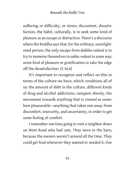suffering or difficulty, or stress, discontent, dissatisfaction, the habit, culturally, is to seek some kind of pleasure as an escape or distraction. There's a discourse where the Buddha says that, for the ordinary, unenlightened person, the only escape from *dukkha-vedanā* is to try to immerse themselves in *sukha-vedanā* in some way: some kind of pleasure or gratification to take the edge off the dissatisfaction. (S 36.6)

It's important to recognize and reflect on this in terms of the culture we have, which conditions all of us: the amount of debt in the culture, different kinds of drug and alcohol addictions, rampant obesity, the movement towards anything that is viewed as somehow pleasurable—anything that takes one away from discomfort, insecurity, and uncertainty, in order to get some feeling of comfort.

I remember one time going to visit a neighbor down on West Road who had cats. They were in the barn, because the owners weren't around all the time. They could get food whenever they wanted or needed it. One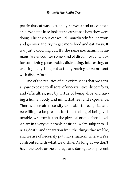particular cat was extremely nervous and uncomfortable. We came in to look at the cats to see how they were doing. The anxious cat would immediately feel nervous and go over and try to get more food and eat away. It was just ballooning out. It's the same mechanism in humans. We encounter some kind of discomfort and look for something pleasurable, distracting, interesting, or exciting—anything but actually having to be present with discomfort.

One of the realities of our existence is that we actually *are* exposed to all sorts of uncertainties, discomforts, and difficulties, just by virtue of being alive and having a human body and mind that feel and experience. There's a certain necessity to be able to recognize and be willing to be present for that feeling of being vulnerable, whether it's on the physical or emotional level. We *are* in a very vulnerable position. We're subject to illness, death, and separation from the things that we like, and we are of necessity put into situations where we're confronted with what we dislike. As long as we don't have the tools, or the courage and daring, to be present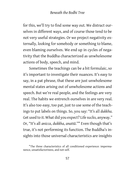for this, we'll try to find some way out. We distract ourselves in different ways, and of course those tend to be not very useful strategies. Or we project negativity externally, looking for somebody or something to blame, even blaming ourselves. We end up in cycles of negativity that the Buddha characterized as unwholesome actions of body, speech, and mind.

Sometimes the teachings can be a bit formulaic, so it's important to investigate their nuances. It's easy to say, in a pat phrase, that these are just unwholesome mental states arising out of unwholesome actions and speech. But we're real people, and the feelings are very real. The habits we entrench ourselves in are very real. It's also too easy, too pat, just to use some of the teachings to put labels on things. So, you say: "It's all *dukkha*. Get used to it. What did you expect? Life sucks, anyway." Or, "It's all *anicca*, *dukkha*, *anattā*."[\\*](#page-65-0) Even though that's true, it's not performing its function. The Buddha's insights into those universal characteristics are insights

<span id="page-65-0"></span><sup>\*</sup>The three characteristics of all conditioned experience: impermanence, unsatisfactoriness, and not-self.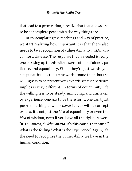that lead to a penetration, a realization that allows one to be at complete peace with the way things are.

In contemplating the teachings and way of practice, we start realizing how important it is that there also needs to be a recognition of vulnerability to *dukkha*, discomfort, dis-ease. The response that is needed is really one of rising up to this with a sense of mindfulness, patience, and equanimity. When they're just words, you can put an intellectual framework around them, but the willingness to be present with experience that patience implies is very different. In terms of equanimity, it's the willingness to be steady, unmoving, and unshaken by experience. One has to be there for it; one can't just push something down or cover it over with a concept or idea. It's not just the *idea* of equanimity or even the *idea* of wisdom, even if you have all the right answers. "It's all *anicca*, *dukkha*, *anattā*. It's this cause, that cause." What is the feeling? What is the experience? Again, it's the need to recognize the vulnerability we have in the human condition.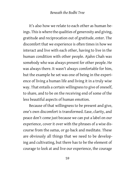It's also how we relate to each other as human beings. This is where the qualities of generosity and giving, gratitude and reciprocation out of gratitude, enter. The discomfort that we experience is often times in how we interact and live with each other, having to live in the human condition with other people. Ajahn Chah was somebody who was always present for other people. He was always there. It wasn't always comfortable for him, but the example he set was one of being in the experience of living a human life and living it in a truly wise way. That entails a certain willingness to give of oneself, to share, and to be on the receiving end of some of the less beautiful aspects of human emotion.

Because of that willingness to be present and give, one's own discomfort is transformed. Ease, clarity, and peace don't come just because we can put a label on our experience, cover it over with the phrases of a wise discourse from the *suttas*, or go back and meditate. These are obviously all things that we need to be developing and cultivating, but there has to be the element of courage to look at and live our experience, the courage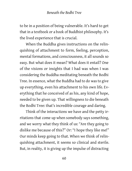to be in a position of being vulnerable. It's hard to get that in a textbook or a book of Buddhist philosophy. It's the lived experience that is crucial.

When the Buddha gives instructions on the relinquishing of attachment to form, feeling, perception, mental formations, and consciousness, it all sounds so easy. But what does it mean? What does it entail? One of the visions or insights that I had was when I was considering the Buddha meditating beneath the Bodhi Tree. In essence, what the Buddha had to do was to give up everything, even his attachment to his own life. Everything that he conceived of as his, any kind of hope, needed to be given up. That willingness to die beneath the Bodhi Tree: that's incredible courage and daring.

Think of the interactions we have and the petty irritations that come up when somebody says something, and we worry what they think of us: "Are they going to dislike me because of this?" Or: "I hope they like me!" Our minds keep going to that. When we think of relinquishing attachment, it seems so clinical and sterile. But, in reality, it is giving up the impulse of distracting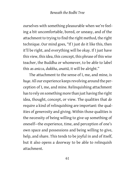ourselves with something pleasurable when we're feeling a bit uncomfortable, bored, or uneasy, and of the attachment to trying to find the right method, the right technique. Our mind goes, "If I just do it like this, then it'll be right, and everything will be okay. If I just have this view, this idea, this concept, this phrase of this wise teacher, the Buddha or whomever, to be able to label this as *anicca*, *dukkha*, *anattā*, it will be alright."

The attachment to the sense of I, me, and mine, is *huge*. All our experience keeps revolving around the perception of I, me, and mine. Relinquishing attachment has to rely on something more than just having the right idea, thought, concept, or view. The qualities that *do* require a kind of relinquishing are important: the qualities of generosity and giving. Within those qualities is the necessity of being willing to give up something of oneself—the experience, time, and perception of one's own space and possessions and being willing to give, help, and share. This tends to be joyful in and of itself, but it also opens a doorway to be able to relinquish attachment.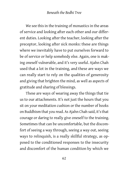We see this in the training of monastics in the areas of service and looking after each other and our different duties. Looking after the teacher, looking after the preceptor, looking after sick monks: these are things where we inevitably have to put ourselves forward to be of service or help somebody else. Again, one is making oneself vulnerable, and it's very useful. Ajahn Chah used that a lot in the training, and these are ways we can really start to rely on the qualities of generosity and giving that brighten the mind, as well as aspects of gratitude and sharing of blessings.

These are ways of wearing away the things that tie us to our attachments. It's not just the hours that you sit on your meditation cushion or the number of books on Buddhism that you read. As Ajahn Chah said, it's that courage or daring to really give oneself to the training. Sometimes that can be uncomfortable, but the discomfort of seeing a way through, seeing a way out, seeing ways to relinquish, is a really skillful strategy, as opposed to the conditioned responses to the insecurity and discomfort of the human condition by which we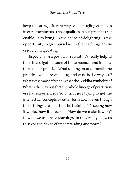keep repeating different ways of entangling ourselves in our attachments. Those qualities in our practice that enable us to bring up the sense of delighting in the opportunity to give ourselves to the teachings are incredibly invigorating.

Especially in a period of retreat, it's really helpful to be investigating some of these nuances and implications of our practice. What's going on underneath the practice, what are we doing, and what is the way out? What is the way of freedom that the Buddha symbolizes? What is the way out that the whole lineage of practitioners has experienced? So, it isn't just trying to get the intellectual concepts or outer form down, even though those things are a part of the training. It's seeing how it works, how it affects us. How do we make it work? How do we use these teachings, so they really allow us to savor the flavor of understanding and peace?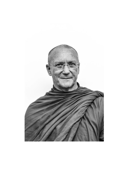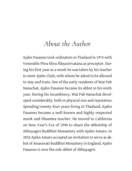## *About the Author*

Ajahn Pasanno took ordination in Thailand in 1974 with Venerable Phra Khru Ñāṇasirivatana as preceptor. During his first year as a monk he was taken by his teacher to meet Ajahn Chah, with whom he asked to be allowed to stay and train. One of the early residents of Wat Pah Nanachat, Ajahn Pasanno became its abbot in his ninth year. During his incumbency, Wat Pah Nanachat developed considerably, both in physical size and reputation. Spending twenty-four years living in Thailand, Ajahn Pasanno became a well-known and highly respected monk and Dhamma teacher. He moved to California on New Year's Eve of 1996 to share the abbotship of Abhayagiri Buddhist Monastery with Ajahn Amaro. In 2010 Ajahn Amaro accepted an invitation to serve as abbot of Amaravati Buddhist Monastery in England. Ajahn Pasanno is now the sole abbot of Abhayagiri.